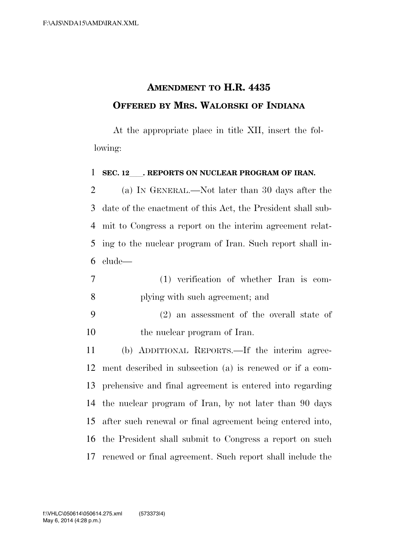## **AMENDMENT TO H.R. 4435 OFFERED BY MRS. WALORSKI OF INDIANA**

At the appropriate place in title XII, insert the following:

## **SEC. 12**ll**. REPORTS ON NUCLEAR PROGRAM OF IRAN.**

 (a) IN GENERAL.—Not later than 30 days after the date of the enactment of this Act, the President shall sub- mit to Congress a report on the interim agreement relat- ing to the nuclear program of Iran. Such report shall in-clude—

- (1) verification of whether Iran is com-plying with such agreement; and
- (2) an assessment of the overall state of the nuclear program of Iran.

 (b) ADDITIONAL REPORTS.—If the interim agree- ment described in subsection (a) is renewed or if a com- prehensive and final agreement is entered into regarding the nuclear program of Iran, by not later than 90 days after such renewal or final agreement being entered into, the President shall submit to Congress a report on such renewed or final agreement. Such report shall include the